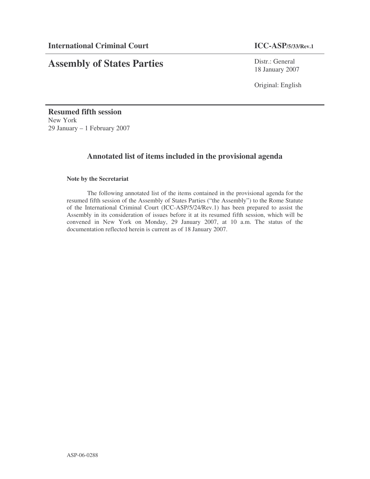# **Assembly of States Parties**

Distr.: General 18 January 2007

Original: English

**Resumed fifth session** New York 29 January – 1 February 2007

## **Annotated list of items included in the provisional agenda**

### **Note by the Secretariat**

The following annotated list of the items contained in the provisional agenda for the resumed fifth session of the Assembly of States Parties ("the Assembly") to the Rome Statute of the International Criminal Court (ICC-ASP/5/24/Rev.1) has been prepared to assist the Assembly in its consideration of issues before it at its resumed fifth session, which will be convened in New York on Monday, 29 January 2007, at 10 a.m. The status of the documentation reflected herein is current as of 18 January 2007.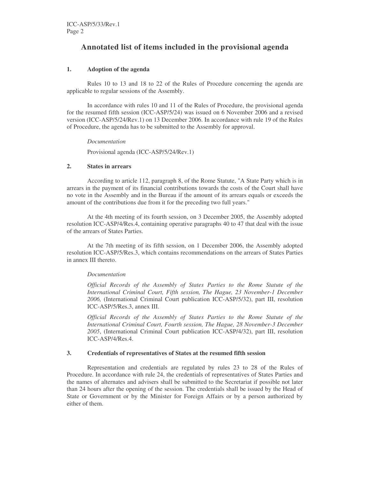## **Annotated list of items included in the provisional agenda**

#### **1. Adoption of the agenda**

Rules 10 to 13 and 18 to 22 of the Rules of Procedure concerning the agenda are applicable to regular sessions of the Assembly.

In accordance with rules 10 and 11 of the Rules of Procedure, the provisional agenda for the resumed fifth session (ICC-ASP/5/24) was issued on 6 November 2006 and a revised version (ICC-ASP/5/24/Rev.1) on 13 December 2006. In accordance with rule 19 of the Rules of Procedure, the agenda has to be submitted to the Assembly for approval.

*Documentation*

Provisional agenda (ICC-ASP/5/24/Rev.1)

#### **2. States in arrears**

According to article 112, paragraph 8, of the Rome Statute, "A State Party which is in arrears in the payment of its financial contributions towards the costs of the Court shall have no vote in the Assembly and in the Bureau if the amount of its arrears equals or exceeds the amount of the contributions due from it for the preceding two full years."

At the 4th meeting of its fourth session, on 3 December 2005, the Assembly adopted resolution ICC-ASP/4/Res.4, containing operative paragraphs 40 to 47 that deal with the issue of the arrears of States Parties.

At the 7th meeting of its fifth session, on 1 December 2006, the Assembly adopted resolution ICC-ASP/5/Res.3, which contains recommendations on the arrears of States Parties in annex III thereto.

#### *Documentation*

*Official Records of the Assembly of States Parties to the Rome Statute of the International Criminal Court, Fifth session, The Hague, 23 November-1 December 2006,* (International Criminal Court publication ICC-ASP/5/32), part III, resolution ICC-ASP/5/Res.3, annex III.

*Official Records of the Assembly of States Parties to the Rome Statute of the International Criminal Court, Fourth session, The Hague, 28 November-3 December 2005*, (International Criminal Court publication ICC-ASP/4/32), part III, resolution ICC-ASP/4/Res.4.

#### **3. Credentials of representatives of States at the resumed fifth session**

Representation and credentials are regulated by rules 23 to 28 of the Rules of Procedure. In accordance with rule 24, the credentials of representatives of States Parties and the names of alternates and advisers shall be submitted to the Secretariat if possible not later than 24 hours after the opening of the session. The credentials shall be issued by the Head of State or Government or by the Minister for Foreign Affairs or by a person authorized by either of them.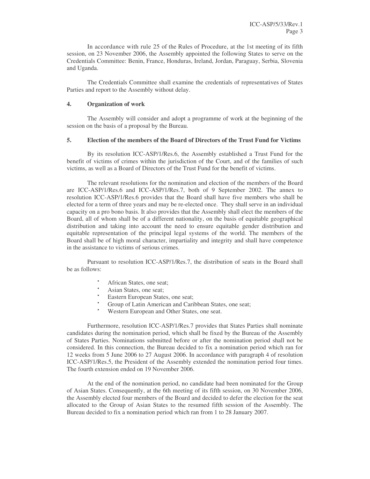In accordance with rule 25 of the Rules of Procedure, at the 1st meeting of its fifth session, on 23 November 2006, the Assembly appointed the following States to serve on the Credentials Committee: Benin, France, Honduras, Ireland, Jordan, Paraguay, Serbia, Slovenia and Uganda.

The Credentials Committee shall examine the credentials of representatives of States Parties and report to the Assembly without delay.

#### **4. Organization of work**

The Assembly will consider and adopt a programme of work at the beginning of the session on the basis of a proposal by the Bureau.

#### **5. Election of the members of the Board of Directors of the Trust Fund for Victims**

By its resolution ICC-ASP/1/Res.6, the Assembly established a Trust Fund for the benefit of victims of crimes within the jurisdiction of the Court, and of the families of such victims, as well as a Board of Directors of the Trust Fund for the benefit of victims.

The relevant resolutions for the nomination and election of the members of the Board are ICC-ASP/1/Res.6 and ICC-ASP/1/Res.7, both of 9 September 2002. The annex to resolution ICC-ASP/1/Res.6 provides that the Board shall have five members who shall be elected for a term of three years and may be re-elected once. They shall serve in an individual capacity on a pro bono basis. It also provides that the Assembly shall elect the members of the Board, all of whom shall be of a different nationality, on the basis of equitable geographical distribution and taking into account the need to ensure equitable gender distribution and equitable representation of the principal legal systems of the world. The members of the Board shall be of high moral character, impartiality and integrity and shall have competence in the assistance to victims of serious crimes.

Pursuant to resolution ICC-ASP/1/Res.7, the distribution of seats in the Board shall be as follows:

- African States, one seat;
- Asian States, one seat;
- Eastern European States, one seat;
- Group of Latin American and Caribbean States, one seat;
- Western European and Other States, one seat.

Furthermore, resolution ICC-ASP/1/Res.7 provides that States Parties shall nominate candidates during the nomination period, which shall be fixed by the Bureau of the Assembly of States Parties. Nominations submitted before or after the nomination period shall not be considered. In this connection, the Bureau decided to fix a nomination period which ran for 12 weeks from 5 June 2006 to 27 August 2006. In accordance with paragraph 4 of resolution ICC-ASP/1/Res.5, the President of the Assembly extended the nomination period four times. The fourth extension ended on 19 November 2006.

At the end of the nomination period, no candidate had been nominated for the Group of Asian States. Consequently, at the 6th meeting of its fifth session, on 30 November 2006, the Assembly elected four members of the Board and decided to defer the election for the seat allocated to the Group of Asian States to the resumed fifth session of the Assembly. The Bureau decided to fix a nomination period which ran from 1 to 28 January 2007.